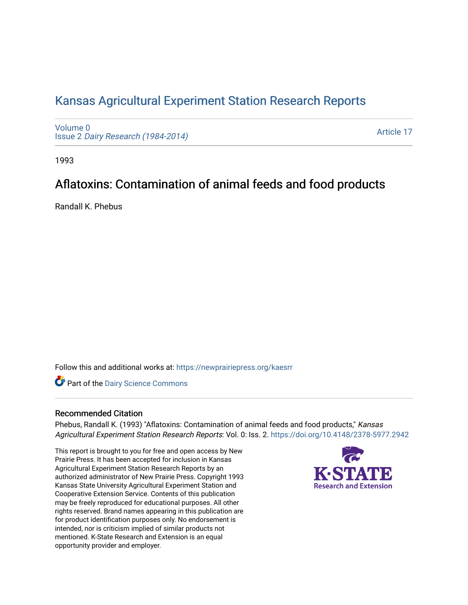## [Kansas Agricultural Experiment Station Research Reports](https://newprairiepress.org/kaesrr)

[Volume 0](https://newprairiepress.org/kaesrr/vol0) Issue 2 [Dairy Research \(1984-2014\)](https://newprairiepress.org/kaesrr/vol0/iss2) 

[Article 17](https://newprairiepress.org/kaesrr/vol0/iss2/17) 

1993

# Aflatoxins: Contamination of animal feeds and food products

Randall K. Phebus

Follow this and additional works at: [https://newprairiepress.org/kaesrr](https://newprairiepress.org/kaesrr?utm_source=newprairiepress.org%2Fkaesrr%2Fvol0%2Fiss2%2F17&utm_medium=PDF&utm_campaign=PDFCoverPages) 

**Part of the Dairy Science Commons** 

#### Recommended Citation

Phebus, Randall K. (1993) "Aflatoxins: Contamination of animal feeds and food products," Kansas Agricultural Experiment Station Research Reports: Vol. 0: Iss. 2.<https://doi.org/10.4148/2378-5977.2942>

This report is brought to you for free and open access by New Prairie Press. It has been accepted for inclusion in Kansas Agricultural Experiment Station Research Reports by an authorized administrator of New Prairie Press. Copyright 1993 Kansas State University Agricultural Experiment Station and Cooperative Extension Service. Contents of this publication may be freely reproduced for educational purposes. All other rights reserved. Brand names appearing in this publication are for product identification purposes only. No endorsement is intended, nor is criticism implied of similar products not mentioned. K-State Research and Extension is an equal opportunity provider and employer.

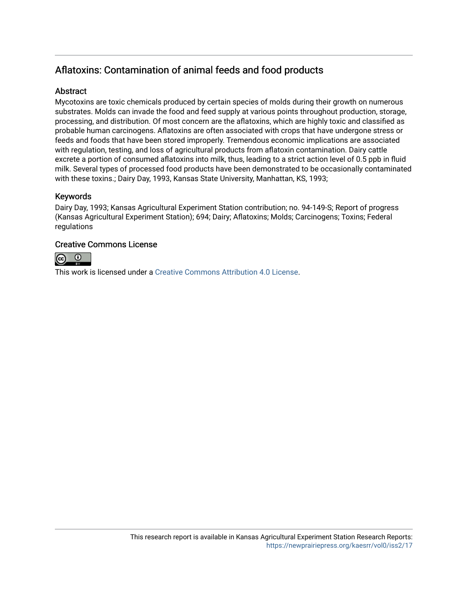## Aflatoxins: Contamination of animal feeds and food products

### **Abstract**

Mycotoxins are toxic chemicals produced by certain species of molds during their growth on numerous substrates. Molds can invade the food and feed supply at various points throughout production, storage, processing, and distribution. Of most concern are the aflatoxins, which are highly toxic and classified as probable human carcinogens. Aflatoxins are often associated with crops that have undergone stress or feeds and foods that have been stored improperly. Tremendous economic implications are associated with regulation, testing, and loss of agricultural products from aflatoxin contamination. Dairy cattle excrete a portion of consumed aflatoxins into milk, thus, leading to a strict action level of 0.5 ppb in fluid milk. Several types of processed food products have been demonstrated to be occasionally contaminated with these toxins.; Dairy Day, 1993, Kansas State University, Manhattan, KS, 1993;

#### Keywords

Dairy Day, 1993; Kansas Agricultural Experiment Station contribution; no. 94-149-S; Report of progress (Kansas Agricultural Experiment Station); 694; Dairy; Aflatoxins; Molds; Carcinogens; Toxins; Federal regulations

#### Creative Commons License



This work is licensed under a [Creative Commons Attribution 4.0 License](https://creativecommons.org/licenses/by/4.0/).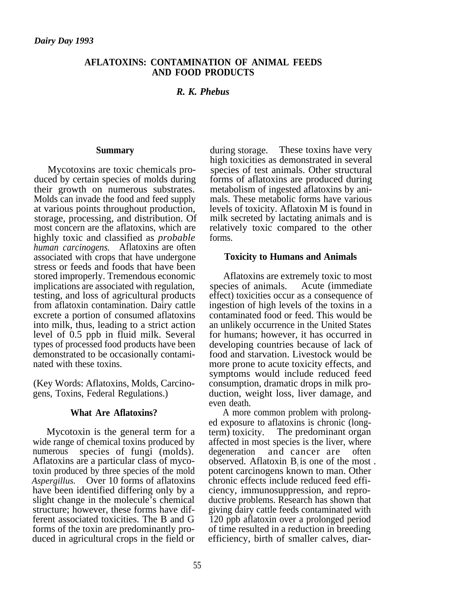#### **AFLATOXINS: CONTAMINATION OF ANIMAL FEEDS AND FOOD PRODUCTS**

### *R. K. Phebus*

#### **Summary**

Mycotoxins are toxic chemicals produced by certain species of molds during their growth on numerous substrates. Molds can invade the food and feed supply at various points throughout production, storage, processing, and distribution. Of most concern are the aflatoxins, which are highly toxic and classified as *probable human carcinogens.* Aflatoxins are often associated with crops that have undergone stress or feeds and foods that have been stored improperly. Tremendous economic implications are associated with regulation, testing, and loss of agricultural products from aflatoxin contamination. Dairy cattle excrete a portion of consumed aflatoxins into milk, thus, leading to a strict action level of 0.5 ppb in fluid milk. Several types of processed food products have been demonstrated to be occasionally contaminated with these toxins.

(Key Words: Aflatoxins, Molds, Carcinogens, Toxins, Federal Regulations.)

#### **What Are Aflatoxins?**

Mycotoxin is the general term for a wide range of chemical toxins produced by numerous species of fungi (molds). Aflatoxins are a particular class of mycotoxin produced by three species of the mold *Aspergillus.* Over 10 forms of aflatoxins have been identified differing only by a slight change in the molecule's chemical structure; however, these forms have different associated toxicities. The B and G forms of the toxin are predominantly produced in agricultural crops in the field or during storage. These toxins have very high toxicities as demonstrated in several species of test animals. Other structural forms of aflatoxins are produced during metabolism of ingested aflatoxins by animals. These metabolic forms have various levels of toxicity. Aflatoxin M is found in milk secreted by lactating animals and is relatively toxic compared to the other forms.

#### **Toxicity to Humans and Animals**

Aflatoxins are extremely toxic to most species of animals. Acute (immediate effect) toxicities occur as a consequence of ingestion of high levels of the toxins in a contaminated food or feed. This would be an unlikely occurrence in the United States for humans; however, it has occurred in developing countries because of lack of food and starvation. Livestock would be more prone to acute toxicity effects, and symptoms would include reduced feed consumption, dramatic drops in milk production, weight loss, liver damage, and even death.

A more common problem with prolonged exposure to aflatoxins is chronic (longterm) toxicity. The predominant organ affected in most species is the liver, where degeneration and cancer are often observed. Aflatoxin  $B<sub>i</sub>$  is one of the most. potent carcinogens known to man. Other chronic effects include reduced feed efficiency, immunosuppression, and reproductive problems. Research has shown that giving dairy cattle feeds contaminated with 120 ppb aflatoxin over a prolonged period of time resulted in a reduction in breeding efficiency, birth of smaller calves, diar